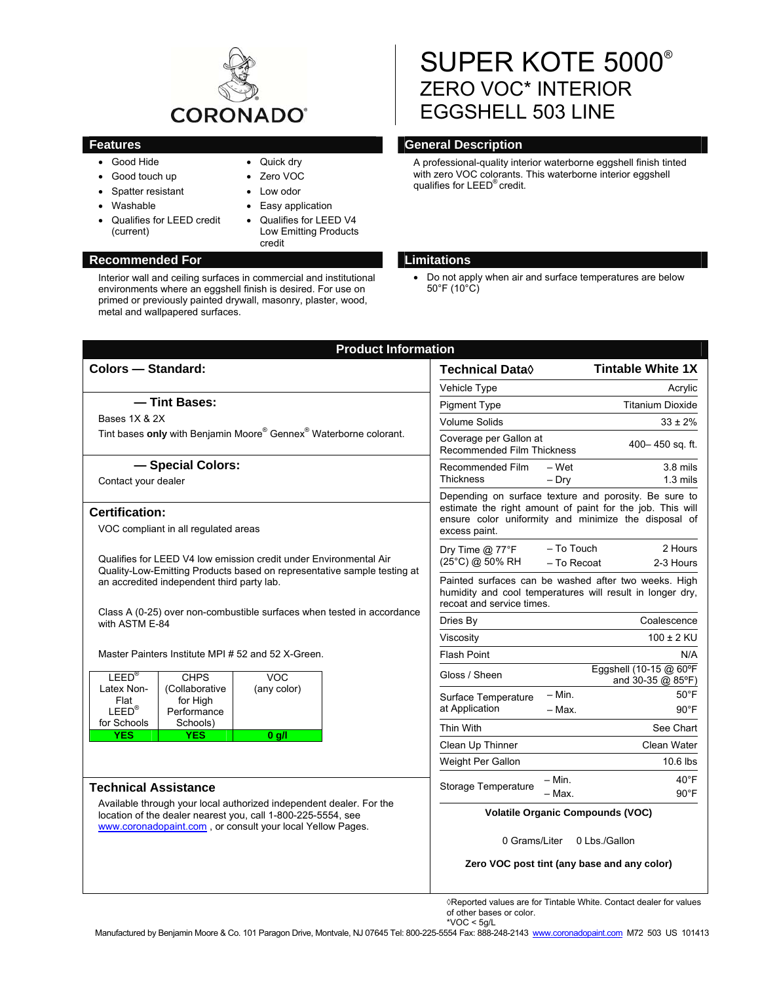

• Quick dry Zero VOC Low odor Easy application • Qualifies for LEED V4 Low Emitting Products

credit

- Good Hide
- Good touch up
- Spatter resistant
- Washable
- Qualifies for LEED credit (current)

Interior wall and ceiling surfaces in commercial and institutional environments where an eggshell finish is desired. For use on primed or previously painted drywall, masonry, plaster, wood, metal and wallpapered surfaces.

# SUPER KOTE 5000<sup>®</sup> ZERO VOC\* INTERIOR EGGSHELL 503 LINE

# **Features** General Description **CENET CONSUMING CONSUMING CONSUMING CONSUMING CONSUMING CONSUMING CONSUMING CONSUMING CONSUMING CONSUMING CONSUMING CONSUMING CONSUMING CONSUMING CONSUMING CONSUMING CONSUMING CONSUMING CONS**

A professional-quality interior waterborne eggshell finish tinted with zero VOC colorants. This waterborne interior eggshell qualifies for LEED® credit.

## **Recommended For Limitations Accommended For Limitations**

• Do not apply when air and surface temperatures are below 50°F (10°C)

| <b>Colors - Standard:</b>                                                                                                                                                                         | <b>Tintable White 1X</b><br>Technical Data $\Diamond$                                                                                                                                       |
|---------------------------------------------------------------------------------------------------------------------------------------------------------------------------------------------------|---------------------------------------------------------------------------------------------------------------------------------------------------------------------------------------------|
|                                                                                                                                                                                                   | Vehicle Type<br>Acrylic                                                                                                                                                                     |
| - Tint Bases:                                                                                                                                                                                     | <b>Titanium Dioxide</b><br><b>Pigment Type</b>                                                                                                                                              |
| Bases 1X & 2X                                                                                                                                                                                     | <b>Volume Solids</b><br>$33 \pm 2\%$                                                                                                                                                        |
| Tint bases only with Benjamin Moore® Gennex® Waterborne colorant.                                                                                                                                 | Coverage per Gallon at<br>400-450 sq. ft.<br><b>Recommended Film Thickness</b>                                                                                                              |
| - Special Colors:                                                                                                                                                                                 | Recommended Film<br>- Wet<br>$3.8$ mils                                                                                                                                                     |
| Contact your dealer                                                                                                                                                                               | <b>Thickness</b><br>$-$ Dry<br>$1.3 \text{ miles}$                                                                                                                                          |
| <b>Certification:</b><br>VOC compliant in all regulated areas                                                                                                                                     | Depending on surface texture and porosity. Be sure to<br>estimate the right amount of paint for the job. This will<br>ensure color uniformity and minimize the disposal of<br>excess paint. |
| Qualifies for LEED V4 low emission credit under Environmental Air<br>Quality-Low-Emitting Products based on representative sample testing at                                                      | - To Touch<br>2 Hours<br>Dry Time @ 77°F<br>(25°C) @ 50% RH<br>- To Recoat<br>2-3 Hours                                                                                                     |
| an accredited independent third party lab.<br>Class A (0-25) over non-combustible surfaces when tested in accordance                                                                              | Painted surfaces can be washed after two weeks. High<br>humidity and cool temperatures will result in longer dry,<br>recoat and service times.                                              |
| with ASTM E-84                                                                                                                                                                                    | Coalescence<br>Dries By                                                                                                                                                                     |
|                                                                                                                                                                                                   | $100 \pm 2$ KU<br>Viscosity                                                                                                                                                                 |
| Master Painters Institute MPI # 52 and 52 X-Green.                                                                                                                                                | <b>Flash Point</b><br>N/A                                                                                                                                                                   |
| LEED <sup>®</sup><br><b>CHPS</b><br><b>VOC</b><br>Latex Non-                                                                                                                                      | Eggshell (10-15 @ 60°F<br>Gloss / Sheen<br>and 30-35 @ 85°F)                                                                                                                                |
| (Collaborative<br>(any color)<br>for High<br>Flat                                                                                                                                                 | - Min.<br>$50^{\circ}$ F<br>Surface Temperature                                                                                                                                             |
| at Application<br>$LEED^{\circledR}$<br>Performance<br>for Schools<br>Schools)<br>Thin With<br><b>YES</b><br><b>YES</b><br>$0$ g/l<br>Clean Up Thinner                                            | $90^{\circ}$ F<br>- Max.                                                                                                                                                                    |
|                                                                                                                                                                                                   | See Chart                                                                                                                                                                                   |
|                                                                                                                                                                                                   | Clean Water                                                                                                                                                                                 |
|                                                                                                                                                                                                   | Weight Per Gallon<br>10.6 lbs                                                                                                                                                               |
| <b>Technical Assistance</b>                                                                                                                                                                       | $40^{\circ}$ F<br>– Min.<br>Storage Temperature<br>- Max.<br>$90^{\circ}$ F                                                                                                                 |
| Available through your local authorized independent dealer. For the<br>location of the dealer nearest you, call 1-800-225-5554, see<br>www.coronadopaint.com, or consult your local Yellow Pages. | <b>Volatile Organic Compounds (VOC)</b>                                                                                                                                                     |
|                                                                                                                                                                                                   | 0 Grams/Liter<br>0 Lbs./Gallon                                                                                                                                                              |
|                                                                                                                                                                                                   | Zero VOC post tint (any base and any color)                                                                                                                                                 |
|                                                                                                                                                                                                   | $\Diamond$ Reported values are for Tintable White. Contact dealer for values                                                                                                                |

of other bases or color. \*VOC < 5g/L